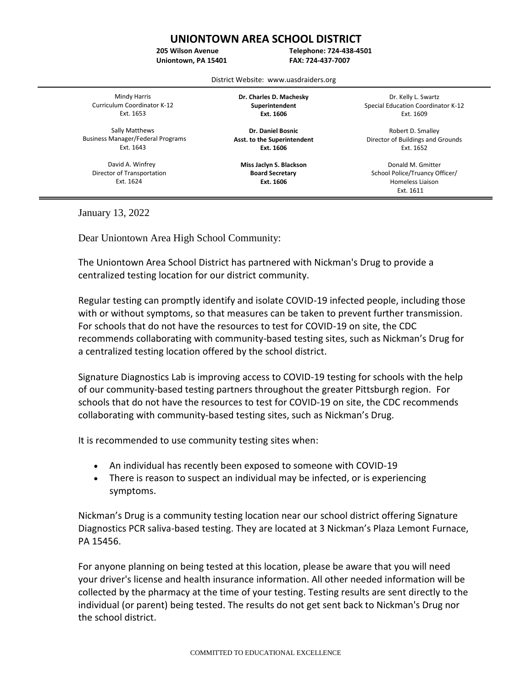## **UNIONTOWN AREA SCHOOL DISTRICT**

**205 Wilson Avenue**

**Uniontown, PA 15401**

**Telephone: 724-438-4501 FAX: 724-437-7007**

District Website: www.uasdraiders.org

֡֡֡

Mindy Harris Curriculum Coordinator K-12 Ext. 1653

Sally Matthews Business Manager/Federal Programs Ext. 1643

 David A. Winfrey Director of Transportation Ext. 1624

**Dr. Charles D. Machesky Superintendent Ext. 1606**

**Dr. Daniel Bosnic Asst. to the Superintendent Ext. 1606**

**Miss Jaclyn S. Blackson Board Secretary Ext. 1606**

Dr. Kelly L. Swartz Special Education Coordinator K-12 Ext. 1609

Robert D. Smalley Director of Buildings and Grounds Ext. 1652

Donald M. Gmitter School Police/Truancy Officer/ Homeless Liaison Ext. 1611

January 13, 2022

Dear Uniontown Area High School Community:

The Uniontown Area School District has partnered with Nickman's Drug to provide a centralized testing location for our district community.

Regular testing can promptly identify and isolate COVID-19 infected people, including those with or without symptoms, so that measures can be taken to prevent further transmission. For schools that do not have the resources to test for COVID-19 on site, the CDC recommends collaborating with community-based testing sites, such as Nickman's Drug for a centralized testing location offered by the school district.

Signature Diagnostics Lab is improving access to COVID-19 testing for schools with the help of our community-based testing partners throughout the greater Pittsburgh region. For schools that do not have the resources to test for COVID-19 on site, the CDC recommends collaborating with community-based testing sites, such as Nickman's Drug.

It is recommended to use community testing sites when:

- An individual has recently been exposed to someone with COVID-19
- There is reason to suspect an individual may be infected, or is experiencing symptoms.

Nickman's Drug is a community testing location near our school district offering Signature Diagnostics PCR saliva-based testing. They are located at 3 Nickman's Plaza Lemont Furnace, PA 15456.

For anyone planning on being tested at this location, please be aware that you will need your driver's license and health insurance information. All other needed information will be collected by the pharmacy at the time of your testing. Testing results are sent directly to the individual (or parent) being tested. The results do not get sent back to Nickman's Drug nor the school district.